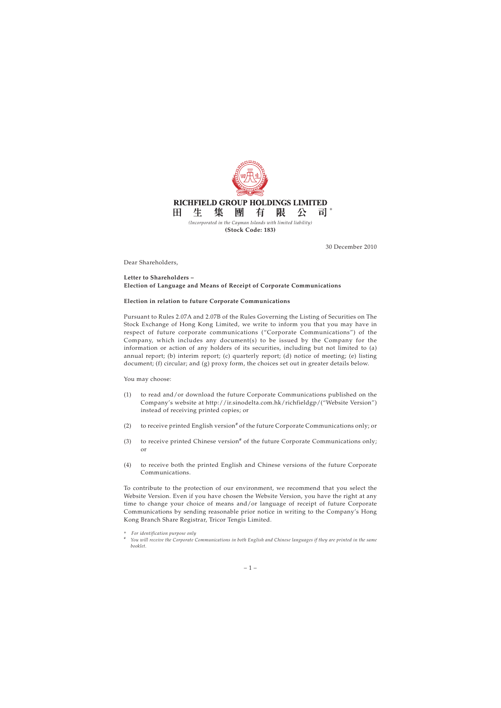

30 December 2010

Dear Shareholders,

## **Letter to Shareholders – Election of Language and Means of Receipt of Corporate Communications**

## **Election in relation to future Corporate Communications**

Pursuant to Rules 2.07A and 2.07B of the Rules Governing the Listing of Securities on The Stock Exchange of Hong Kong Limited, we write to inform you that you may have in respect of future corporate communications ("Corporate Communications") of the Company, which includes any document(s) to be issued by the Company for the information or action of any holders of its securities, including but not limited to (a) annual report; (b) interim report; (c) quarterly report; (d) notice of meeting; (e) listing document; (f) circular; and (g) proxy form, the choices set out in greater details below.

You may choose:

- (1) to read and/or download the future Corporate Communications published on the Company's website at http://ir.sinodelta.com.hk/richfieldgp/("Website Version") instead of receiving printed copies; or
- (2) to receive printed English version<sup>#</sup> of the future Corporate Communications only; or
- (3) to receive printed Chinese version<sup>#</sup> of the future Corporate Communications only; or
- (4) to receive both the printed English and Chinese versions of the future Corporate Communications.

To contribute to the protection of our environment, we recommend that you select the Website Version. Even if you have chosen the Website Version, you have the right at any time to change your choice of means and/or language of receipt of future Corporate Communications by sending reasonable prior notice in writing to the Company's Hong Kong Branch Share Registrar, Tricor Tengis Limited.

<sup>\*</sup> *For identification purpose only*

*<sup>#</sup> You will receive the Corporate Communications in both English and Chinese languages if they are printed in the same booklet.*